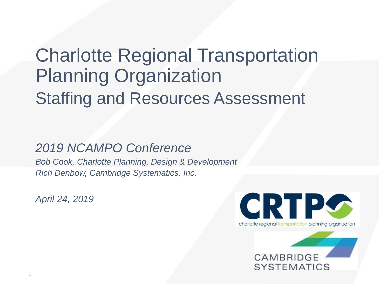## Charlotte Regional Transportation Planning Organization Staffing and Resources Assessment

#### *2019 NCAMPO Conference*

*Bob Cook, Charlotte Planning, Design & Development Rich Denbow, Cambridge Systematics, Inc.*

*April 24, 2019*



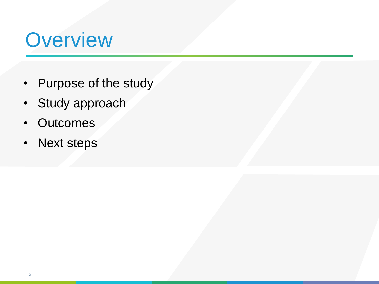## **Overview**

- Purpose of the study
- Study approach
- Outcomes
- Next steps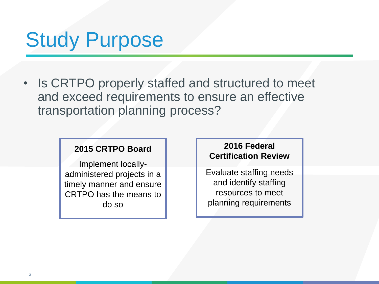# Study Purpose

• Is CRTPO properly staffed and structured to meet and exceed requirements to ensure an effective transportation planning process?

#### **2015 CRTPO Board**

Implement locallyadministered projects in a timely manner and ensure CRTPO has the means to do so

#### **2016 Federal Certification Review**

Evaluate staffing needs and identify staffing resources to meet planning requirements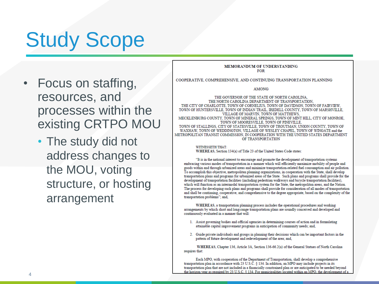# Study Scope

- Focus on staffing, resources, and processes within the existing CRTPO MOU
	- The study did not address changes to the MOU, voting structure, or hosting arrangement

**MEMORANDUM OF UNDERSTANDING FOR** 

COOPERATIVE, COMPREHENSIVE, AND CONTINUING TRANSPORTATION PLANNING

**AMONG** 

THE GOVERNOR OF THE STATE OF NORTH CAROLINA. THE NORTH CAROLINA DEPARTMENT OF TRANSPORTATION. THE CITY OF CHARLOTTE, TOWN OF CORNELIUS, TOWN OF DAVIDSON, TOWN OF FAIRVIEW. TOWN OF HUNTERSVILLE, TOWN OF INDIAN TRAIL, IREDELL COUNTY, TOWN OF MARSHVILLE, VILLAGE OF MARVIN. TOWN OF MATTHEWS. MECKLENBURG COUNTY, TOWN OF MINERAL SPRINGS, TOWN OF MINT HILL, CITY OF MONROE TOWN OF MOORESVILLE, TOWN OF PINEVILLE. TOWN OF STALLINGS, CITY OF STATESVILLE, TOWN OF TROUTMAN, UNION COUNTY, TOWN OF WAXHAW, TOWN OF WEDDINGTON, VILLAGE OF WESLEY CHAPEL, TOWN OF WINGATE and the METROPOLITAN TRANSIT COMMISSION. IN COOPERATION WITH THE UNITED STATES DEPARTMENT OF TRANSPORTATION

> **WITNESSETH THAT:** WHEREAS, Section 134(a) of Title 23 of the United States Code states:

"It is in the national interest to encourage and promote the development of transportation systems embracing various modes of transportation in a manner which will efficiently maximize mobility of people and goods within and through urbanized areas and minimize transportation-related fuel consumption and air pollution. To accomplish this objective, metropolitan planning organizations, in cooperation with the State, shall develop transportation plans and programs for urbanized areas of the State. Such plans and programs shall provide for the development of transportation facilities (including pedestrian walkways and bicycle transportation facilities), which will function as an intermodal transportation system for the State, the metropolitan areas, and the Nation. The process for developing such plans and programs shall provide for consideration of all modes of transportation and shall be continuing, cooperative, and comprehensive to the degree appropriate, based on the complexity of the transportation problems"; and,

WHEREAS, a transportation planning process includes the operational procedures and working arrangements by which short and long-range transportation plans are soundly conceived and developed and continuously evaluated in a manner that will:

- 1. Assist governing bodies and official agencies in determining courses of action and in formulating attainable capital improvement programs in anticipation of community needs; and,
- 2. Guide private individuals and groups in planning their decisions which can be important factors in the pattern of future development and redevelopment of the area; and,

WHEREAS, Chapter 136, Article 3A, Section 136-66.2(a) of the General Statues of North Carolina requires that:

Each MPO, with cooperation of the Department of Transportation, shall develop a comprehensive transportation plan in accordance with 23 U.S.C. § 134. In addition, an MPO may include projects in its transportation plan that are not included in a financially constrained plan or are anticipated to be needed beyond the horizon year as required by 23 U.S.C. § 134. For municipalities located within an MPO, the development of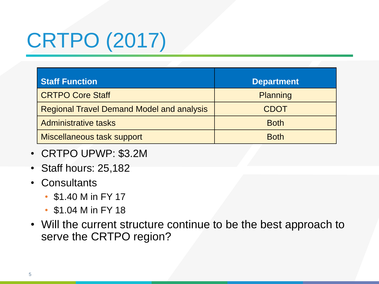# CRTPO (2017)

| <b>Staff Function</b>                            | <b>Department</b> |
|--------------------------------------------------|-------------------|
| <b>CRTPO Core Staff</b>                          | Planning          |
| <b>Regional Travel Demand Model and analysis</b> | <b>CDOT</b>       |
| <b>Administrative tasks</b>                      | <b>Both</b>       |
| <b>Miscellaneous task support</b>                | <b>Both</b>       |

- CRTPO UPWP: \$3.2M
- Staff hours: 25,182
- Consultants
	- \$1.40 M in FY 17
	- \$1.04 M in FY 18
- Will the current structure continue to be the best approach to serve the CRTPO region?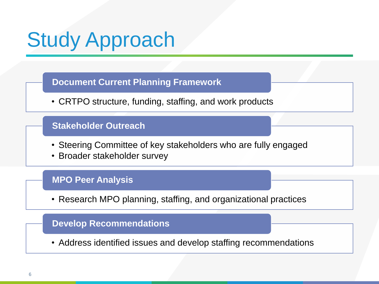# Study Approach

#### **Document Current Planning Framework**

• CRTPO structure, funding, staffing, and work products

#### **Stakeholder Outreach**

- Steering Committee of key stakeholders who are fully engaged
- Broader stakeholder survey

#### **MPO Peer Analysis**

• Research MPO planning, staffing, and organizational practices

#### **Develop Recommendations**

• Address identified issues and develop staffing recommendations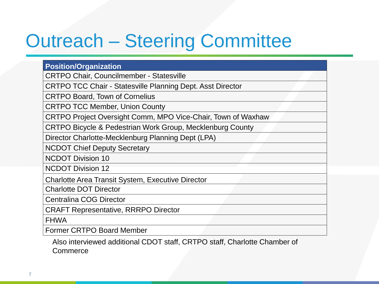## Outreach – Steering Committee

#### **Position/Organization**

CRTPO Chair, Councilmember - Statesville

CRTPO TCC Chair - Statesville Planning Dept. Asst Director

CRTPO Board, Town of Cornelius

CRTPO TCC Member, Union County

CRTPO Project Oversight Comm, MPO Vice-Chair, Town of Waxhaw

CRTPO Bicycle & Pedestrian Work Group, Mecklenburg County

Director Charlotte-Mecklenburg Planning Dept (LPA)

NCDOT Chief Deputy Secretary

NCDOT Division 10

NCDOT Division 12

Charlotte Area Transit System, Executive Director

Charlotte DOT Director

Centralina COG Director

CRAFT Representative, RRRPO Director

FHWA

Former CRTPO Board Member

Also interviewed additional CDOT staff, CRTPO staff, Charlotte Chamber of Commerce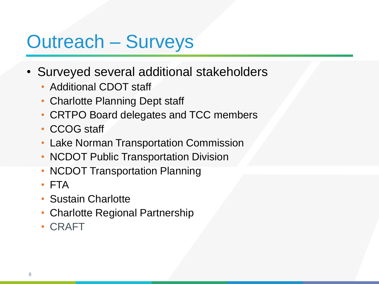## Outreach – Surveys

- Surveyed several additional stakeholders
	- Additional CDOT staff
	- Charlotte Planning Dept staff
	- CRTPO Board delegates and TCC members
	- CCOG staff
	- Lake Norman Transportation Commission
	- NCDOT Public Transportation Division
	- **NCDOT Transportation Planning**
	- FTA
	- Sustain Charlotte
	- Charlotte Regional Partnership
	- CRAFT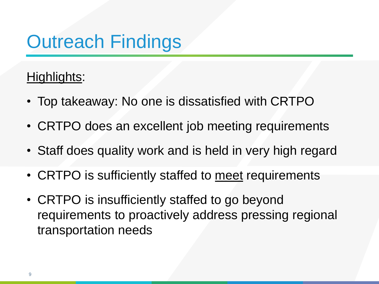## Outreach Findings

#### Highlights:

- Top takeaway: No one is dissatisfied with CRTPO
- CRTPO does an excellent job meeting requirements
- Staff does quality work and is held in very high regard
- CRTPO is sufficiently staffed to meet requirements
- CRTPO is insufficiently staffed to go beyond requirements to proactively address pressing regional transportation needs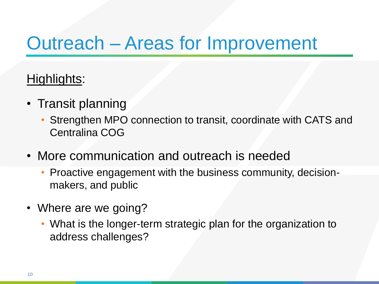### Outreach – Areas for Improvement

#### Highlights:

- Transit planning
	- Strengthen MPO connection to transit, coordinate with CATS and Centralina COG
- More communication and outreach is needed
	- Proactive engagement with the business community, decisionmakers, and public
- Where are we going?
	- What is the longer-term strategic plan for the organization to address challenges?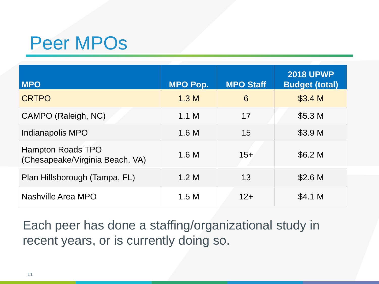### Peer MPOs

| <b>MPO</b>                                                  | <b>MPO Pop.</b>  | <b>MPO Staff</b> | <b>2018 UPWP</b><br><b>Budget (total)</b> |
|-------------------------------------------------------------|------------------|------------------|-------------------------------------------|
| <b>CRTPO</b>                                                | 1.3 <sub>M</sub> | 6                | \$3.4 M                                   |
| CAMPO (Raleigh, NC)                                         | 1.1 M            | 17               | \$5.3 <sub>M</sub>                        |
| Indianapolis MPO                                            | 1.6M             | 15               | \$3.9 <sub>M</sub>                        |
| <b>Hampton Roads TPO</b><br>(Chesapeake/Virginia Beach, VA) | 1.6M             | $15 +$           | \$6.2 M                                   |
| Plan Hillsborough (Tampa, FL)                               | 1.2 M            | 13               | \$2.6 <sub>M</sub>                        |
| Nashville Area MPO                                          | 1.5M             | $12+$            | \$4.1 M                                   |

Each peer has done a staffing/organizational study in recent years, or is currently doing so.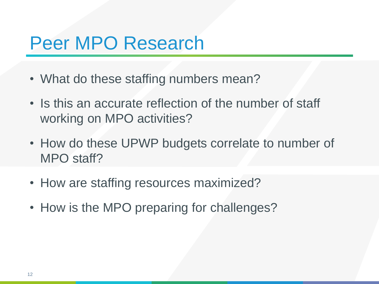#### Peer MPO Research

- What do these staffing numbers mean?
- Is this an accurate reflection of the number of staff working on MPO activities?
- How do these UPWP budgets correlate to number of MPO staff?
- How are staffing resources maximized?
- How is the MPO preparing for challenges?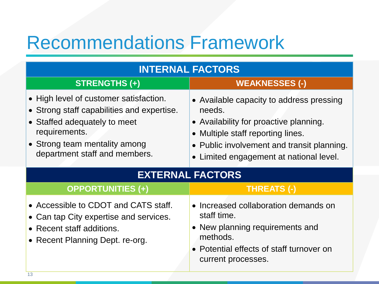### Recommendations Framework

| <b>INTERNAL FACTORS</b>                                                                                                                                                                                 |                                                                                                                                                                                                                        |  |  |  |
|---------------------------------------------------------------------------------------------------------------------------------------------------------------------------------------------------------|------------------------------------------------------------------------------------------------------------------------------------------------------------------------------------------------------------------------|--|--|--|
| <b>STRENGTHS (+)</b>                                                                                                                                                                                    | <b>WEAKNESSES (-)</b>                                                                                                                                                                                                  |  |  |  |
| • High level of customer satisfaction.<br>• Strong staff capabilities and expertise.<br>• Staffed adequately to meet<br>requirements.<br>• Strong team mentality among<br>department staff and members. | • Available capacity to address pressing<br>needs.<br>• Availability for proactive planning.<br>Multiple staff reporting lines.<br>• Public involvement and transit planning.<br>Limited engagement at national level. |  |  |  |
| <b>EXTERNAL FACTORS</b>                                                                                                                                                                                 |                                                                                                                                                                                                                        |  |  |  |
| <b>OPPORTUNITIES (+)</b>                                                                                                                                                                                | <b>THREATS (-)</b>                                                                                                                                                                                                     |  |  |  |
| • Accessible to CDOT and CATS staff.<br>• Can tap City expertise and services.<br>• Recent staff additions.<br>• Recent Planning Dept. re-org.                                                          | Increased collaboration demands on<br>staff time.<br>New planning requirements and<br>methods.<br>Potential effects of staff turnover on<br>current processes.                                                         |  |  |  |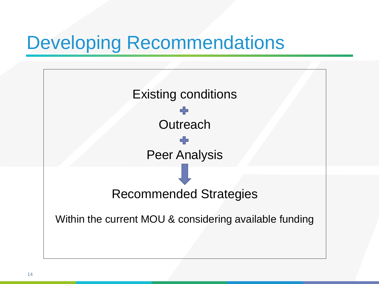## Developing Recommendations

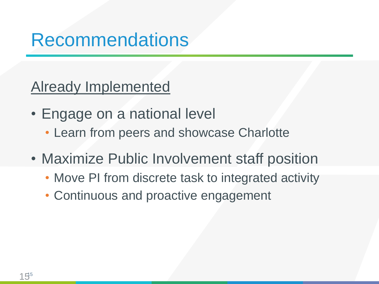Already Implemented

- Engage on a national level
	- Learn from peers and showcase Charlotte
- Maximize Public Involvement staff position
	- Move PI from discrete task to integrated activity
	- Continuous and proactive engagement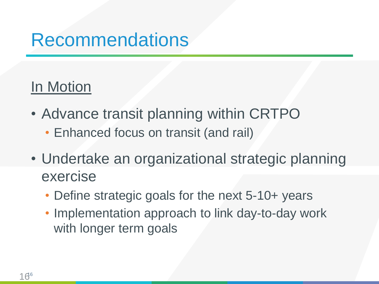#### In Motion

- Advance transit planning within CRTPO
	- Enhanced focus on transit (and rail)
- Undertake an organizational strategic planning exercise
	- Define strategic goals for the next 5-10+ years
	- Implementation approach to link day-to-day work with longer term goals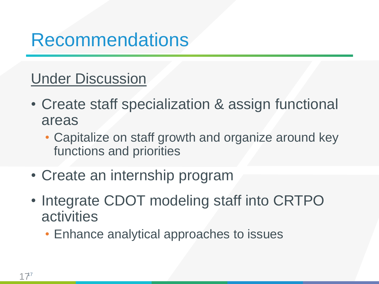#### Under Discussion

- Create staff specialization & assign functional areas
	- Capitalize on staff growth and organize around key functions and priorities
- Create an internship program
- Integrate CDOT modeling staff into CRTPO activities
	- Enhance analytical approaches to issues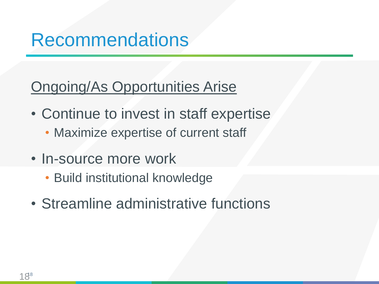#### Ongoing/As Opportunities Arise

- Continue to invest in staff expertise
	- Maximize expertise of current staff
- In-source more work
	- Build institutional knowledge
- Streamline administrative functions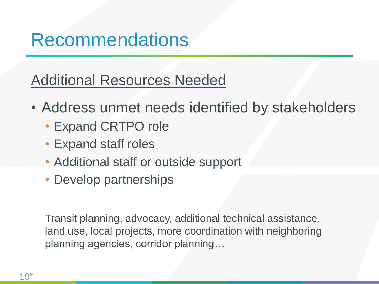Additional Resources Needed

- Address unmet needs identified by stakeholders
	- Expand CRTPO role
	- Expand staff roles
	- Additional staff or outside support
	- Develop partnerships

Transit planning, advocacy, additional technical assistance, land use, local projects, more coordination with neighboring planning agencies, corridor planning…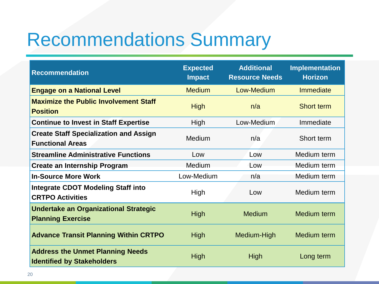## Recommendations Summary

| <b>Recommendation</b>                                                        | <b>Expected</b><br><b>Impact</b> | <b>Additional</b><br><b>Resource Needs</b> | Implementation<br><b>Horizon</b> |
|------------------------------------------------------------------------------|----------------------------------|--------------------------------------------|----------------------------------|
| <b>Engage on a National Level</b>                                            | <b>Medium</b>                    | Low-Medium                                 | <b>Immediate</b>                 |
| <b>Maximize the Public Involvement Staff</b><br><b>Position</b>              | <b>High</b>                      | n/a                                        | Short term                       |
| <b>Continue to Invest in Staff Expertise</b>                                 | High                             | Low-Medium                                 | Immediate                        |
| <b>Create Staff Specialization and Assign</b><br><b>Functional Areas</b>     | <b>Medium</b>                    | n/a                                        | Short term                       |
| <b>Streamline Administrative Functions</b>                                   | Low                              | Low                                        | Medium term                      |
| <b>Create an Internship Program</b>                                          | Medium                           | Low                                        | Medium term                      |
| <b>In-Source More Work</b>                                                   | Low-Medium                       | n/a                                        | Medium term                      |
| <b>Integrate CDOT Modeling Staff into</b><br><b>CRTPO Activities</b>         | High                             | Low                                        | Medium term                      |
| <b>Undertake an Organizational Strategic</b><br><b>Planning Exercise</b>     | <b>High</b>                      | <b>Medium</b>                              | Medium term                      |
| <b>Advance Transit Planning Within CRTPO</b>                                 | <b>High</b>                      | Medium-High                                | Medium term                      |
| <b>Address the Unmet Planning Needs</b><br><b>Identified by Stakeholders</b> | <b>High</b>                      | High                                       | Long term                        |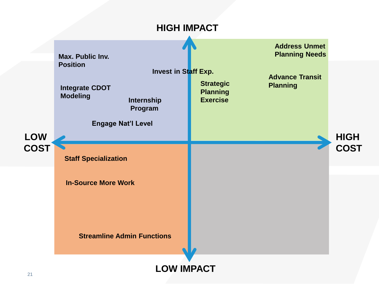#### **HIGH IMPACT**

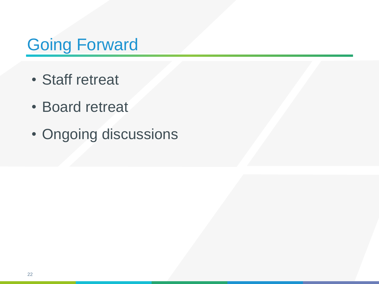#### Going Forward

- Staff retreat
- Board retreat
- Ongoing discussions